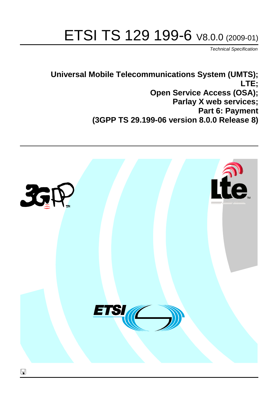# ETSI TS 129 199-6 V8.0.0 (2009-01)

*Technical Specification*

**Universal Mobile Telecommunications System (UMTS); LTE; Open Service Access (OSA); Parlay X web services; Part 6: Payment (3GPP TS 29.199-06 version 8.0.0 Release 8)**

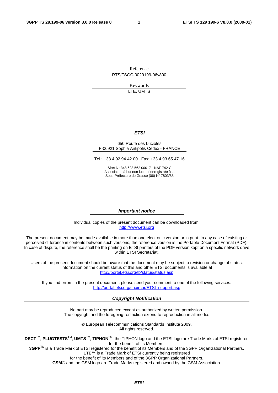Reference RTS/TSGC-0029199-06v800

> Keywords LTE, UMTS

#### *ETSI*

#### 650 Route des Lucioles F-06921 Sophia Antipolis Cedex - FRANCE

Tel.: +33 4 92 94 42 00 Fax: +33 4 93 65 47 16

Siret N° 348 623 562 00017 - NAF 742 C Association à but non lucratif enregistrée à la Sous-Préfecture de Grasse (06) N° 7803/88

#### *Important notice*

Individual copies of the present document can be downloaded from: [http://www.etsi.org](http://www.etsi.org/)

The present document may be made available in more than one electronic version or in print. In any case of existing or perceived difference in contents between such versions, the reference version is the Portable Document Format (PDF). In case of dispute, the reference shall be the printing on ETSI printers of the PDF version kept on a specific network drive within ETSI Secretariat.

Users of the present document should be aware that the document may be subject to revision or change of status. Information on the current status of this and other ETSI documents is available at <http://portal.etsi.org/tb/status/status.asp>

If you find errors in the present document, please send your comment to one of the following services: [http://portal.etsi.org/chaircor/ETSI\\_support.asp](http://portal.etsi.org/chaircor/ETSI_support.asp)

#### *Copyright Notification*

No part may be reproduced except as authorized by written permission. The copyright and the foregoing restriction extend to reproduction in all media.

> © European Telecommunications Standards Institute 2009. All rights reserved.

**DECT**TM, **PLUGTESTS**TM, **UMTS**TM, **TIPHON**TM, the TIPHON logo and the ETSI logo are Trade Marks of ETSI registered for the benefit of its Members.

**3GPP**TM is a Trade Mark of ETSI registered for the benefit of its Members and of the 3GPP Organizational Partners. **LTE**™ is a Trade Mark of ETSI currently being registered

for the benefit of its Members and of the 3GPP Organizational Partners.

**GSM**® and the GSM logo are Trade Marks registered and owned by the GSM Association.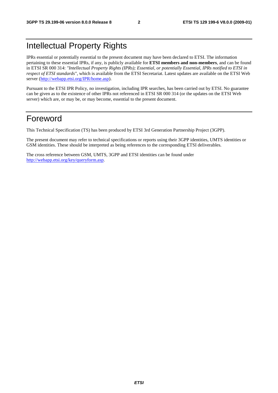## Intellectual Property Rights

IPRs essential or potentially essential to the present document may have been declared to ETSI. The information pertaining to these essential IPRs, if any, is publicly available for **ETSI members and non-members**, and can be found in ETSI SR 000 314: *"Intellectual Property Rights (IPRs); Essential, or potentially Essential, IPRs notified to ETSI in respect of ETSI standards"*, which is available from the ETSI Secretariat. Latest updates are available on the ETSI Web server ([http://webapp.etsi.org/IPR/home.asp\)](http://webapp.etsi.org/IPR/home.asp).

Pursuant to the ETSI IPR Policy, no investigation, including IPR searches, has been carried out by ETSI. No guarantee can be given as to the existence of other IPRs not referenced in ETSI SR 000 314 (or the updates on the ETSI Web server) which are, or may be, or may become, essential to the present document.

### Foreword

This Technical Specification (TS) has been produced by ETSI 3rd Generation Partnership Project (3GPP).

The present document may refer to technical specifications or reports using their 3GPP identities, UMTS identities or GSM identities. These should be interpreted as being references to the corresponding ETSI deliverables.

The cross reference between GSM, UMTS, 3GPP and ETSI identities can be found under [http://webapp.etsi.org/key/queryform.asp.](http://webapp.etsi.org/key/queryform.asp)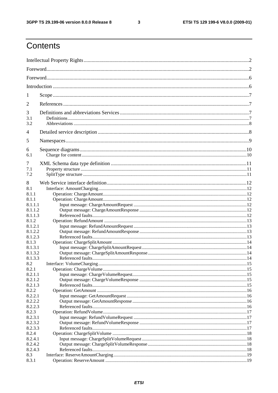$\mathbf{3}$ 

## Contents

| 1          |  |
|------------|--|
| 2          |  |
| 3          |  |
| 3.1<br>3.2 |  |
| 4          |  |
| 5          |  |
| 6          |  |
| 6.1        |  |
| 7          |  |
| 7.1        |  |
| 7.2        |  |
| 8          |  |
| 8.1        |  |
| 8.1.1      |  |
| 8.1.1      |  |
| 8.1.1.1    |  |
| 8.1.1.2    |  |
| 8.1.1.3    |  |
| 8.1.2      |  |
| 8.1.2.1    |  |
| 8.1.2.2    |  |
| 8.1.2.3    |  |
| 8.1.3      |  |
| 8.1.3.1    |  |
| 8.1.3.2    |  |
| 8.1.3.3    |  |
| 8.2        |  |
| 8.2.1      |  |
| 8.2.1.1    |  |
| 8.2.1.2    |  |
| 8.2.1.3    |  |
| 8.2.2      |  |
| 8.2.2.1    |  |
| 8.2.2.2    |  |
| 8.2.2.3    |  |
| 8.2.3      |  |
| 8.2.3.1    |  |
| 8.2.3.2    |  |
| 8.2.3.3    |  |
| 8.2.4      |  |
| 8.2.4.1    |  |
| 8.2.4.2    |  |
| 8.2.4.3    |  |
| 8.3        |  |
| 8.3.1      |  |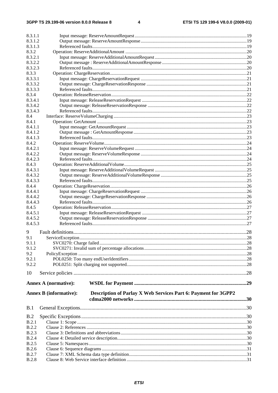$\overline{\mathbf{4}}$ 

| 8.3.1.1                      |                                                                                                 |  |
|------------------------------|-------------------------------------------------------------------------------------------------|--|
| 8.3.1.2                      |                                                                                                 |  |
| 8.3.1.3                      |                                                                                                 |  |
| 8.3.2                        |                                                                                                 |  |
| 8.3.2.1                      |                                                                                                 |  |
| 8.3.2.2                      |                                                                                                 |  |
| 8.3.2.3                      |                                                                                                 |  |
| 8.3.3                        |                                                                                                 |  |
| 8.3.3.1                      |                                                                                                 |  |
| 8.3.3.2                      |                                                                                                 |  |
| 8.3.3.3                      |                                                                                                 |  |
| 8.3.4                        |                                                                                                 |  |
| 8.3.4.1                      |                                                                                                 |  |
| 8.3.4.2                      |                                                                                                 |  |
| 8.3.4.3                      |                                                                                                 |  |
| 8.4                          |                                                                                                 |  |
| 8.4.1<br>8.4.1.1             |                                                                                                 |  |
| 8.4.1.2                      |                                                                                                 |  |
| 8.4.1.3                      |                                                                                                 |  |
| 8.4.2                        |                                                                                                 |  |
| 8.4.2.1                      |                                                                                                 |  |
| 8.4.2.2                      |                                                                                                 |  |
| 8.4.2.3                      |                                                                                                 |  |
| 8.4.3                        |                                                                                                 |  |
| 8.4.3.1                      |                                                                                                 |  |
| 8.4.3.2                      |                                                                                                 |  |
| 8.4.3.3                      |                                                                                                 |  |
| 8.4.4                        |                                                                                                 |  |
| 8.4.4.1                      |                                                                                                 |  |
| 8.4.4.2                      |                                                                                                 |  |
| 8.4.4.3                      |                                                                                                 |  |
| 8.4.5                        |                                                                                                 |  |
| 8.4.5.1                      |                                                                                                 |  |
| 8.4.5.2                      |                                                                                                 |  |
| 8.4.5.3                      |                                                                                                 |  |
| 9                            |                                                                                                 |  |
| 9.1                          |                                                                                                 |  |
| 9.1.1                        |                                                                                                 |  |
| 9.1.2                        |                                                                                                 |  |
| 9.2                          |                                                                                                 |  |
| 9.2.1                        |                                                                                                 |  |
| 9.2.2                        |                                                                                                 |  |
| 10                           |                                                                                                 |  |
|                              |                                                                                                 |  |
|                              | <b>Annex A (normative):</b>                                                                     |  |
|                              | Description of Parlay X Web Services Part 6: Payment for 3GPP2<br><b>Annex B</b> (informative): |  |
|                              |                                                                                                 |  |
| B.1                          |                                                                                                 |  |
|                              |                                                                                                 |  |
| B.2                          |                                                                                                 |  |
| B.2.1                        |                                                                                                 |  |
| <b>B.2.2</b><br><b>B.2.3</b> |                                                                                                 |  |
| <b>B.2.4</b>                 |                                                                                                 |  |
| <b>B.2.5</b>                 |                                                                                                 |  |
| B.2.6                        |                                                                                                 |  |
| <b>B.2.7</b>                 |                                                                                                 |  |
|                              |                                                                                                 |  |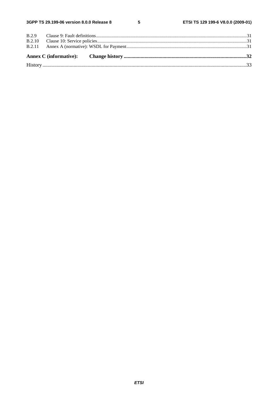$5\phantom{a}$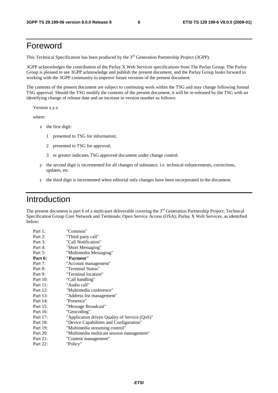### Foreword

This Technical Specification has been produced by the 3<sup>rd</sup> Generation Partnership Project (3GPP).

3GPP acknowledges the contribution of the Parlay X Web Services specifications from The Parlay Group. The Parlay Group is pleased to see 3GPP acknowledge and publish the present document, and the Parlay Group looks forward to working with the 3GPP community to improve future versions of the present document.

The contents of the present document are subject to continuing work within the TSG and may change following formal TSG approval. Should the TSG modify the contents of the present document, it will be re-released by the TSG with an identifying change of release date and an increase in version number as follows:

Version x.y.z

where:

- x the first digit:
	- 1 presented to TSG for information;
	- 2 presented to TSG for approval;
	- 3 or greater indicates TSG approved document under change control.
- y the second digit is incremented for all changes of substance, i.e. technical enhancements, corrections, updates, etc.
- z the third digit is incremented when editorial only changes have been incorporated in the document.

### Introduction

The present document is part 6 of a multi-part deliverable covering the  $3<sup>rd</sup>$  Generation Partnership Project; Technical Specification Group Core Network and Terminals; Open Service Access (OSA); Parlay X Web Services, as identified below:

| Part 1:  | "Common"                                      |
|----------|-----------------------------------------------|
| Part 2:  | "Third party call"                            |
| Part 3:  | "Call Notification"                           |
| Part 4:  | "Short Messaging"                             |
| Part 5:  | "Multimedia Messaging"                        |
| Part 6:  | "Payment"                                     |
| Part 7:  | "Account management"                          |
| Part 8:  | "Terminal Status"                             |
| Part 9:  | "Terminal location"                           |
| Part 10: | "Call handling"                               |
| Part 11: | "Audio call"                                  |
| Part 12: | "Multimedia conference"                       |
| Part 13: | "Address list management"                     |
| Part 14: | "Presence"                                    |
| Part 15: | "Message Broadcast"                           |
| Part 16: | "Geocoding"                                   |
| Part 17: | "Application driven Quality of Service (QoS)" |
| Part 18: | "Device Capabilities and Configuration"       |
| Part 19: | "Multimedia streaming control"                |
| Part 20: | "Multimedia multicast session management"     |
| Part 21: | "Content management"                          |
| Part 22: | "Policy"                                      |
|          |                                               |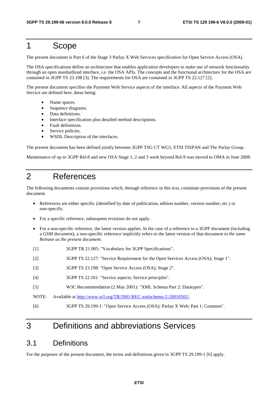### 1 Scope

The present document is Part 6 of the Stage 3 Parlay X Web Services specification for Open Service Access (OSA).

The OSA specifications define an architecture that enables application developers to make use of network functionality through an open standardized interface, i.e. the OSA APIs. The concepts and the functional architecture for the OSA are contained in 3GPP TS 23.198 [3]. The requirements for OSA are contained in 3GPP TS 22.127 [2].

The present document specifies the Payment Web Service aspects of the interface. All aspects of the Payment Web Service are defined here, these being:

- Name spaces.
- Sequence diagrams.
- Data definitions.
- Interface specification plus detailed method descriptions.
- Fault definitions.
- Service policies.
- WSDL Description of the interfaces.

The present document has been defined jointly between 3GPP TSG CT WG5, ETSI TISPAN and The Parlay Group.

Maintenance of up to 3GPP Rel-8 and new OSA Stage 1, 2 and 3 work beyond Rel-9 was moved to OMA in June 2008.

### 2 References

The following documents contain provisions which, through reference in this text, constitute provisions of the present document.

- References are either specific (identified by date of publication, edition number, version number, etc.) or non-specific.
- For a specific reference, subsequent revisions do not apply.
- For a non-specific reference, the latest version applies. In the case of a reference to a 3GPP document (including a GSM document), a non-specific reference implicitly refers to the latest version of that document *in the same Release as the present document*.
- [1] 3GPP TR 21.905: "Vocabulary for 3GPP Specifications".
- [2] 3GPP TS 22.127: "Service Requirement for the Open Services Access (OSA); Stage 1".
- [3] 3GPP TS 23.198: "Open Service Access (OSA); Stage 2".
- [4] 3GPP TS 22.101: "Service aspects; Service principles".
- [5] W3C Recommendation (2 May 2001): "XML Schema Part 2: Datatypes".
- NOTE: Available at [http://www.w3.org/TR/2001/REC-xmlschema-2-20010502/.](http://www.w3.org/TR/2001/REC-xmlschema-2-20010502/)
- [6] 3GPP TS 29.199-1: "Open Service Access (OSA); Parlay X Web; Part 1: Common".

## 3 Definitions and abbreviations Services

### 3.1 Definitions

For the purposes of the present document, the terms and definitions given in 3GPP TS 29.199-1 [6] apply.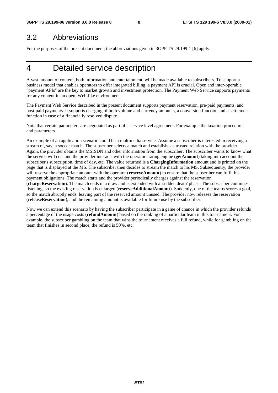### 3.2 Abbreviations

For the purposes of the present document, the abbreviations given in 3GPP TS 29.199-1 [6] apply.

## 4 Detailed service description

A vast amount of content, both information and entertainment, will be made available to subscribers. To support a business model that enables operators to offer integrated billing, a payment API is crucial. Open and inter-operable "payment APIs" are the key to market growth and investment protection. The Payment Web Service supports payments for any content in an open, Web-like environment.

The Payment Web Service described in the present document supports payment reservation, pre-paid payments, and post-paid payments. It supports charging of both volume and currency amounts, a conversion function and a settlement function in case of a financially resolved dispute.

Note that certain parameters are negotiated as part of a service level agreement. For example the taxation procedures and parameters.

An example of an application scenario could be a multimedia service. Assume a subscriber is interested in receiving a stream of, say, a soccer match. The subscriber selects a match and establishes a trusted relation with the provider. Again, the provider obtains the MSISDN and other information from the subscriber. The subscriber wants to know what the service will cost and the provider interacts with the operators rating engine (**getAmount**) taking into account the subscriber's subscription, time of day, etc. The value returned is a **ChargingInformation** amount and is printed on the page that is displayed at the MS. The subscriber then decides to stream the match to his MS. Subsequently, the provider will reserve the appropriate amount with the operator (**reserveAmount**) to ensure that the subscriber can fulfil his payment obligations. The match starts and the provider periodically charges against the reservation (**chargeReservation**). The match ends in a draw and is extended with a 'sudden death' phase. The subscriber continues listening, so the existing reservation is enlarged (**reserveAdditionalAmount**). Suddenly, one of the teams scores a goal, so the match abruptly ends, leaving part of the reserved amount unused. The provider now releases the reservation (**releaseReservation**), and the remaining amount is available for future use by the subscriber.

Now we can extend this scenario by having the subscriber participate in a game of chance in which the provider refunds a percentage of the usage costs (**refundAmount**) based on the ranking of a particular team in this tournament. For example, the subscriber gambling on the team that wins the tournament receives a full refund, while for gambling on the team that finishes in second place, the refund is 50%, etc.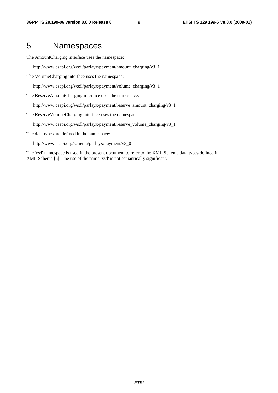## 5 Namespaces

The AmountCharging interface uses the namespace:

http://www.csapi.org/wsdl/parlayx/payment/amount\_charging/v3\_1

The VolumeCharging interface uses the namespace:

http://www.csapi.org/wsdl/parlayx/payment/volume\_charging/v3\_1

The ReserveAmountCharging interface uses the namespace:

http://www.csapi.org/wsdl/parlayx/payment/reserve\_amount\_charging/v3\_1

The ReserveVolumeCharging interface uses the namespace:

http://www.csapi.org/wsdl/parlayx/payment/reserve\_volume\_charging/v3\_1

The data types are defined in the namespace:

http://www.csapi.org/schema/parlayx/payment/v3\_0

The 'xsd' namespace is used in the present document to refer to the XML Schema data types defined in XML Schema [5]. The use of the name 'xsd' is not semantically significant.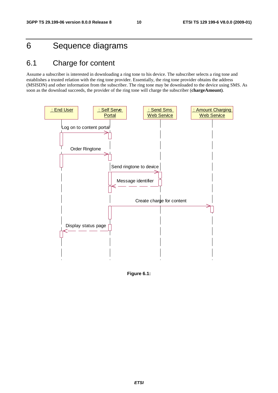## 6 Sequence diagrams

## 6.1 Charge for content

Assume a subscriber is interested in downloading a ring tone to his device. The subscriber selects a ring tone and establishes a trusted relation with the ring tone provider. Essentially, the ring tone provider obtains the address (MSISDN) and other information from the subscriber. The ring tone may be downloaded to the device using SMS. As soon as the download succeeds, the provider of the ring tone will charge the subscriber (**chargeAmount)**.



**Figure 6.1:**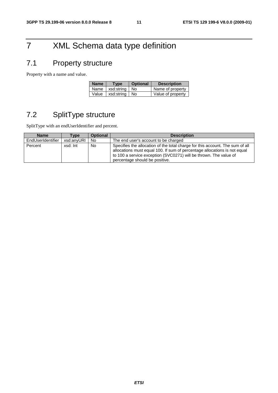## 7 XML Schema data type definition

## 7.1 Property structure

Property with a name and value.

| <b>Name</b> | <b>Type</b>             | <b>Optional</b> | <b>Description</b> |
|-------------|-------------------------|-----------------|--------------------|
|             | Name   xsd:string   No  |                 | Name of property   |
|             | Value   xsd:string   No |                 | Value of property  |

## 7.2 SplitType structure

SplitType with an endUserIdentifier and percent.

| <b>Name</b>       | Type       | <b>Optional</b> | <b>Description</b>                                                                                                                                                                                                                                                |
|-------------------|------------|-----------------|-------------------------------------------------------------------------------------------------------------------------------------------------------------------------------------------------------------------------------------------------------------------|
| EndUserIdentifier | xsd:anvURI | No.             | The end user's account to be charged                                                                                                                                                                                                                              |
| Percent           | xsd: Int   | <b>No</b>       | Specifies the allocation of the total charge for this account. The sum of all<br>allocations must equal 100. If sum of percentage allocations is not equal<br>to 100 a service exception (SVC0271) will be thrown. The value of<br>percentage should be positive. |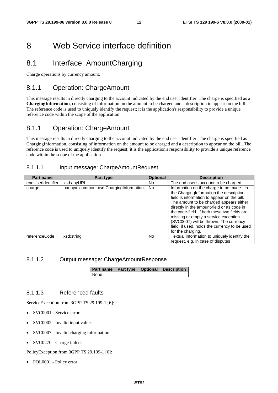## 8 Web Service interface definition

### 8.1 Interface: AmountCharging

Charge operations by currency amount.

### 8.1.1 Operation: ChargeAmount

This message results in directly charging to the account indicated by the end user identifier. The charge is specified as a **ChargingInformation**, consisting of information on the amount to be charged and a description to appear on the bill. The reference code is used to uniquely identify the request; it is the application's responsibility to provide a unique reference code within the scope of the application.

### 8.1.1 Operation: ChargeAmount

This message results in directly charging to the account indicated by the end user identifier. The charge is specified as ChargingInformation, consisting of information on the amount to be charged and a description to appear on the bill. The reference code is used to uniquely identify the request; it is the application's responsibility to provide a unique reference code within the scope of the application.

#### 8.1.1.1 Input message: ChargeAmountRequest

| <b>Part name</b>  | Part type                              | <b>Optional</b> | <b>Description</b>                                                                                                                                                                                                                                                                                                                                                                                                                    |
|-------------------|----------------------------------------|-----------------|---------------------------------------------------------------------------------------------------------------------------------------------------------------------------------------------------------------------------------------------------------------------------------------------------------------------------------------------------------------------------------------------------------------------------------------|
| endUserIdentifier | xsd:anyURI                             | No.             | The end user's account to be charged                                                                                                                                                                                                                                                                                                                                                                                                  |
| charge            | parlayx_common_xsd:ChargingInformation | No.             | Information on the charge to be made. In<br>the ChargingInformation the description-<br>field is information to appear on the bill.<br>The amount to be charged appears either<br>directly in the amount-field or as code in<br>the code-field. If both these two fields are<br>missing or empty a service exception<br>(SVC0007) will be thrown. The currency-<br>field, if used, holds the currency to be used<br>for the charging. |
| referenceCode     | xsd:string                             | No.             | Textual information to uniquely identify the<br>request, e.g. in case of disputes                                                                                                                                                                                                                                                                                                                                                     |

#### 8.1.1.2 Output message: ChargeAmountResponse

|             |  | Part name   Part type   Optional   Description |
|-------------|--|------------------------------------------------|
| <b>None</b> |  |                                                |

#### 8.1.1.3 Referenced faults

ServiceException from 3GPP TS 29.199-1 [6]:

- SVC0001 Service error.
- SVC0002 Invalid input value.
- SVC0007 Invalid charging information
- SVC0270 Charge failed.

PolicyException from 3GPP TS 29.199-1 [6]: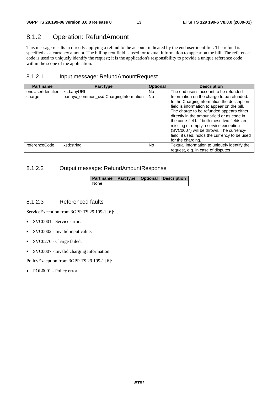### 8.1.2 Operation: RefundAmount

This message results in directly applying a refund to the account indicated by the end user identifier. The refund is specified as a currency amount. The billing text field is used for textual information to appear on the bill. The reference code is used to uniquely identify the request; it is the application's responsibility to provide a unique reference code within the scope of the application.

#### 8.1.2.1 Input message: RefundAmountRequest

| <b>Part name</b>  | Part type                              | <b>Optional</b> | <b>Description</b>                                                                                                                                                                                                                                                                                                                                                                                                                         |
|-------------------|----------------------------------------|-----------------|--------------------------------------------------------------------------------------------------------------------------------------------------------------------------------------------------------------------------------------------------------------------------------------------------------------------------------------------------------------------------------------------------------------------------------------------|
| endUserIdentifier | xsd:anyURI                             | No.             | The end user's account to be refunded                                                                                                                                                                                                                                                                                                                                                                                                      |
| charge            | parlayx_common_xsd:ChargingInformation | <b>No</b>       | Information on the charge to be refunded.<br>In the ChargingInformation the description-<br>field is information to appear on the bill.<br>The charge to be refunded appears either<br>directly in the amount-field or as code in<br>the code-field. If both these two fields are<br>missing or empty a service exception<br>(SVC0007) will be thrown. The currency-<br>field, if used, holds the currency to be used<br>for the charging. |
| referenceCode     | xsd:string                             | No.             | Textual information to uniquely identify the<br>request, e.g. in case of disputes                                                                                                                                                                                                                                                                                                                                                          |

#### 8.1.2.2 Output message: RefundAmountResponse

|      |  | Part name   Part type   Optional   Description |
|------|--|------------------------------------------------|
| None |  |                                                |

### 8.1.2.3 Referenced faults

ServiceException from 3GPP TS 29.199-1 [6]:

- SVC0001 Service error.
- SVC0002 Invalid input value.
- SVC0270 Charge failed.
- SVC0007 Invalid charging information

PolicyException from 3GPP TS 29.199-1 [6]: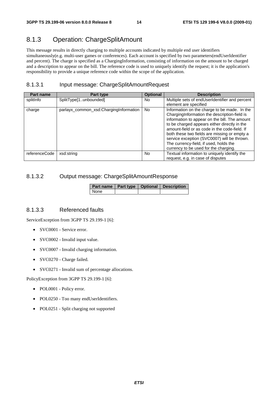### 8.1.3 Operation: ChargeSplitAmount

This message results in directly charging to multiple accounts indicated by multiple end user identifiers simultaneously(e.g. multi-user games or conferences). Each account is specified by two parameters(endUserIdentifier and percent). The charge is specified as a ChargingInformation, consisting of information on the amount to be charged and a description to appear on the bill. The reference code is used to uniquely identify the request; it is the application's responsibility to provide a unique reference code within the scope of the application.

### 8.1.3.1 Input message: ChargeSplitAmountRequest

| <b>Part name</b> | Part type                              | <b>Optional</b> | <b>Description</b>                             |
|------------------|----------------------------------------|-----------------|------------------------------------------------|
| splitInfo        | SplitType[1unbounded]                  | No.             | Multiple sets of endUserIdentifier and percent |
|                  |                                        |                 | element are specified                          |
| charge           | parlayx_common_xsd:ChargingInformation | <b>No</b>       | Information on the charge to be made. In the   |
|                  |                                        |                 | ChargingInformation the description-field is   |
|                  |                                        |                 | information to appear on the bill. The amount  |
|                  |                                        |                 | to be charged appears either directly in the   |
|                  |                                        |                 | amount-field or as code in the code-field. If  |
|                  |                                        |                 | both these two fields are missing or empty a   |
|                  |                                        |                 | service exception (SVC0007) will be thrown.    |
|                  |                                        |                 | The currency-field, if used, holds the         |
|                  |                                        |                 | currency to be used for the charging.          |
| referenceCode    | xsd:string                             | No.             | Textual information to uniquely identify the   |
|                  |                                        |                 | request, e.g. in case of disputes              |

### 8.1.3.2 Output message: ChargeSplitAmountResponse

|      |  | Part name   Part type   Optional   Description |
|------|--|------------------------------------------------|
| None |  |                                                |

### 8.1.3.3 Referenced faults

ServiceException from 3GPP TS 29.199-1 [6]:

- SVC0001 Service error.
- SVC0002 Invalid input value.
- SVC0007 Invalid charging information.
- SVC0270 Charge failed.
- SVC0271 Invalid sum of percentage allocations.

PolicyException from 3GPP TS 29.199-1 [6]:

- POL0001 Policy error.
- POL0250 Too many endUserIdentifiers.
- POL0251 Split charging not supported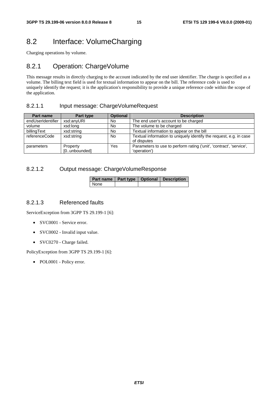### 8.2 Interface: VolumeCharging

Charging operations by volume.

### 8.2.1 Operation: ChargeVolume

This message results in directly charging to the account indicated by the end user identifier. The charge is specified as a volume. The billing text field is used for textual information to appear on the bill. The reference code is used to uniquely identify the request; it is the application's responsibility to provide a unique reference code within the scope of the application.

#### 8.2.1.1 Input message: ChargeVolumeRequest

| <b>Part name</b>  | Part type                | <b>Optional</b> | <b>Description</b>                                                                  |
|-------------------|--------------------------|-----------------|-------------------------------------------------------------------------------------|
| endUserIdentifier | xsd:anyURI               | No.             | The end user's account to be charged                                                |
| volume            | xsd:long                 | <b>No</b>       | The volume to be charged                                                            |
| billingText       | xsd:string               | No              | Textual information to appear on the bill                                           |
| referenceCode     | xsd:string               | <b>No</b>       | Textual information to uniquely identify the request, e.g. in case<br>of disputes   |
| parameters        | Property<br>[0unbounded] | Yes             | Parameters to use to perform rating ('unit', 'contract', 'service',<br>'operation') |

#### 8.2.1.2 Output message: ChargeVolumeResponse

| Part name   Part type   Optional   Description |  |  |
|------------------------------------------------|--|--|
| None                                           |  |  |

#### 8.2.1.3 Referenced faults

ServiceException from 3GPP TS 29.199-1 [6]:

- SVC0001 Service error.
- SVC0002 Invalid input value.
- SVC0270 Charge failed.

PolicyException from 3GPP TS 29.199-1 [6]: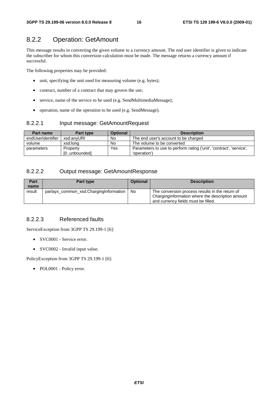### 8.2.2 Operation: GetAmount

This message results in converting the given volume to a currency amount. The end user identifier is given to indicate the subscriber for whom this conversion calculation must be made. The message returns a currency amount if successful.

The following properties may be provided:

- unit, specifying the unit used for measuring volume (e.g. bytes);
- contract, number of a contract that may govern the use;
- service, name of the service to be used (e.g. SendMultimediaMessage);
- operation, name of the operation to be used (e.g. SendMessage).

#### 8.2.2.1 Input message: GetAmountRequest

| <b>Part name</b>  | Part type    | <b>Optional</b> | <b>Description</b>                                                  |
|-------------------|--------------|-----------------|---------------------------------------------------------------------|
| endUserIdentifier | xsd:anvURI   | No              | The end user's account to be charged                                |
| volume            | xsd:long     | No              | The volume to be converted                                          |
| parameters        | Property     | Yes             | Parameters to use to perform rating ('unit', 'contract', 'service', |
|                   | [0unbounded] |                 | 'operation')                                                        |

### 8.2.2.2 Output message: GetAmountResponse

| Part<br>name | Part type                              | <b>Optional</b> | <b>Description</b>                                                                                                                          |
|--------------|----------------------------------------|-----------------|---------------------------------------------------------------------------------------------------------------------------------------------|
| result       | parlayx_common_xsd:ChargingInformation | No.             | The conversion process results in the return of<br>Charging Information where the description amount<br>and currency fields must be filled. |

#### 8.2.2.3 Referenced faults

ServiceException from 3GPP TS 29.199-1 [6]:

- SVC0001 Service error.
- SVC0002 Invalid input value.

PolicyException from 3GPP TS 29.199-1 [6]: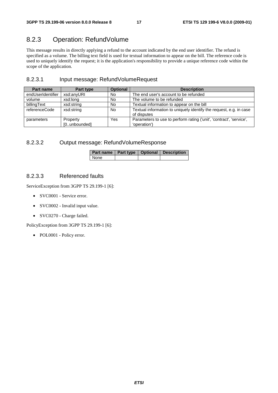### 8.2.3 Operation: RefundVolume

This message results in directly applying a refund to the account indicated by the end user identifier. The refund is specified as a volume. The billing text field is used for textual information to appear on the bill. The reference code is used to uniquely identify the request; it is the application's responsibility to provide a unique reference code within the scope of the application.

### 8.2.3.1 Input message: RefundVolumeRequest

| Part name         | Part type    | <b>Optional</b> | <b>Description</b>                                                  |  |
|-------------------|--------------|-----------------|---------------------------------------------------------------------|--|
| endUserIdentifier | xsd:anyURI   | No.             | The end user's account to be refunded                               |  |
| volume            | xsd:long     | No              | The volume to be refunded                                           |  |
| billingText       | xsd:string   | <b>No</b>       | Textual information to appear on the bill                           |  |
| referenceCode     | xsd:string   | <b>No</b>       | Textual information to uniquely identify the request, e.g. in case  |  |
|                   |              |                 | of disputes                                                         |  |
| parameters        | Property     | Yes             | Parameters to use to perform rating ('unit', 'contract', 'service', |  |
|                   | [0unbounded] |                 | 'operation')                                                        |  |

#### 8.2.3.2 Output message: RefundVolumeResponse

| Part name   Part type   Optional   Description |  |  |
|------------------------------------------------|--|--|
| None                                           |  |  |

#### 8.2.3.3 Referenced faults

ServiceException from 3GPP TS 29.199-1 [6]:

- SVC0001 Service error.
- SVC0002 Invalid input value.
- SVC0270 Charge failed.

PolicyException from 3GPP TS 29.199-1 [6]: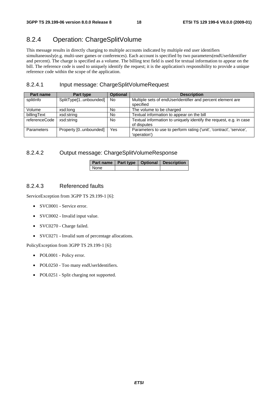### 8.2.4 Operation: ChargeSplitVolume

This message results in directly charging to multiple accounts indicated by multiple end user identifiers simultaneously(e.g. multi-user games or conferences). Each account is specified by two parameters(endUserIdentifier and percent). The charge is specified as a volume. The billing text field is used for textual information to appear on the bill. The reference code is used to uniquely identify the request; it is the application's responsibility to provide a unique reference code within the scope of the application.

#### 8.2.4.1 Input message: ChargeSplitVolumeRequest

| Part name     | <b>Part type</b>      | <b>Optional</b> | <b>Description</b>                                                                  |
|---------------|-----------------------|-----------------|-------------------------------------------------------------------------------------|
| splitInfo     | SplitType[1unbounded] | <b>No</b>       | Multiple sets of endUserIdentifier and percent element are<br>specified             |
| Volume        | xsd:long              | No              | The volume to be charged                                                            |
| billingText   | xsd:string            | No              | Textual information to appear on the bill                                           |
| referenceCode | xsd:string            | No              | Textual information to uniquely identify the request, e.g. in case<br>of disputes   |
| Parameters    | Property [0unbounded] | Yes             | Parameters to use to perform rating ('unit', 'contract', 'service',<br>'operation') |

#### 8.2.4.2 Output message: ChargeSplitVolumeResponse

|      |  | Part name   Part type   Optional   Description |
|------|--|------------------------------------------------|
| None |  |                                                |

#### 8.2.4.3 Referenced faults

ServiceException from 3GPP TS 29.199-1 [6]:

- SVC0001 Service error.
- SVC0002 Invalid input value.
- SVC0270 Charge failed.
- SVC0271 Invalid sum of percentage allocations.

PolicyException from 3GPP TS 29.199-1 [6]:

- POL0001 Policy error.
- POL0250 Too many endUserIdentifiers.
- POL0251 Split charging not supported.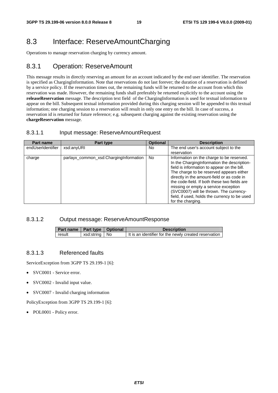### 8.3 Interface: ReserveAmountCharging

Operations to manage reservation charging by currency amount.

### 8.3.1 Operation: ReserveAmount

This message results in directly reserving an amount for an account indicated by the end user identifier. The reservation is specified as ChargingInformation. Note that reservations do not last forever; the duration of a reservation is defined by a service policy. If the reservation times out, the remaining funds will be returned to the account from which this reservation was made. However, the remaining funds shall preferably be returned explicitly to the account using the **releaseReservation** message. The description text field of the ChargingInformation is used for textual information to appear on the bill. Subsequent textual information provided during this charging session will be appended to this textual information; one charging session to a reservation will result in only one entry on the bill. In case of success, a reservation id is returned for future reference; e.g. subsequent charging against the existing reservation using the **chargeReservation** message.

#### 8.3.1.1 Input message: ReserveAmountRequest

| <b>Part name</b>  | Part type                              | <b>Optional</b> | <b>Description</b>                                                                                                                                                                                                                                                                                                                                                                                                                         |
|-------------------|----------------------------------------|-----------------|--------------------------------------------------------------------------------------------------------------------------------------------------------------------------------------------------------------------------------------------------------------------------------------------------------------------------------------------------------------------------------------------------------------------------------------------|
| endUserIdentifier | xsd:anyURI                             | No.             | The end user's account subject to the                                                                                                                                                                                                                                                                                                                                                                                                      |
|                   |                                        |                 | reservation                                                                                                                                                                                                                                                                                                                                                                                                                                |
| charge            | parlayx_common_xsd:ChargingInformation | No.             | Information on the charge to be reserved.<br>In the ChargingInformation the description-<br>field is information to appear on the bill.<br>The charge to be reserved appears either<br>directly in the amount-field or as code in<br>the code-field. If both these two fields are<br>missing or empty a service exception<br>(SVC0007) will be thrown. The currency-<br>field, if used, holds the currency to be used<br>for the charging. |

#### 8.3.1.2 Output message: ReserveAmountResponse

| Part name   Part type   Optional |                 | <b>Description</b>                                    |
|----------------------------------|-----------------|-------------------------------------------------------|
| result                           | xsd:string   No | It is an identifier for the newly created reservation |

#### 8.3.1.3 Referenced faults

ServiceException from 3GPP TS 29.199-1 [6]:

- SVC0001 Service error.
- SVC0002 Invalid input value.
- SVC0007 Invalid charging information

PolicyException from 3GPP TS 29.199-1 [6]: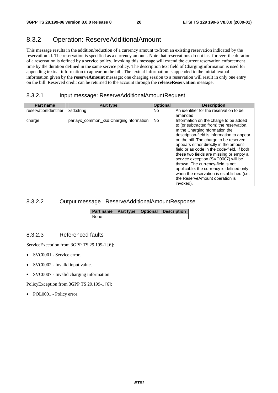### 8.3.2 Operation: ReserveAdditionalAmount

This message results in the addition/reduction of a currency amount to/from an existing reservation indicated by the reservation id. The reservation is specified as a currency amount. Note that reservations do not last forever; the duration of a reservation is defined by a service policy. Invoking this message will extend the current reservation enforcement time by the duration defined in the same service policy. The description text field of ChargingInformation is used for appending textual information to appear on the bill. The textual information is appended to the initial textual information given by the **reserveAmount** message; one charging session to a reservation will result in only one entry on the bill. Reserved credit can be returned to the account through the **releaseReservation** message.

### 8.3.2.1 Input message: ReserveAdditionalAmountRequest

| <b>Part name</b>      | Part type                              | <b>Optional</b> | <b>Description</b>                                                                                                                                                                                                                                                                                                                                                                                                                                                                                                                                                  |
|-----------------------|----------------------------------------|-----------------|---------------------------------------------------------------------------------------------------------------------------------------------------------------------------------------------------------------------------------------------------------------------------------------------------------------------------------------------------------------------------------------------------------------------------------------------------------------------------------------------------------------------------------------------------------------------|
| reservationIdentifier | xsd:string                             | N <sub>o</sub>  | An identifier for the reservation to be                                                                                                                                                                                                                                                                                                                                                                                                                                                                                                                             |
|                       |                                        |                 | amended                                                                                                                                                                                                                                                                                                                                                                                                                                                                                                                                                             |
| charge                | parlayx_common_xsd:ChargingInformation | N <sub>o</sub>  | Information on the charge to be added<br>to (or subtracted from) the reservation.<br>In the ChargingInformation the<br>description-field is information to appear<br>on the bill. The charge to be reserved<br>appears either directly in the amount-<br>field or as code in the code-field. If both<br>these two fields are missing or empty a<br>service exception (SVC0007) will be<br>thrown. The currency-field is not<br>applicable: the currency is defined only<br>when the reservation is established (i.e.<br>the ReserveAmount operation is<br>invoked). |

### 8.3.2.2 Output message : ReserveAdditionalAmountResponse

|        |  | Part name   Part type   Optional   Description |
|--------|--|------------------------------------------------|
| l None |  |                                                |

#### 8.3.2.3 Referenced faults

ServiceException from 3GPP TS 29.199-1 [6]:

- SVC0001 Service error.
- SVC0002 Invalid input value.
- SVC0007 Invalid charging information

PolicyException from 3GPP TS 29.199-1 [6]: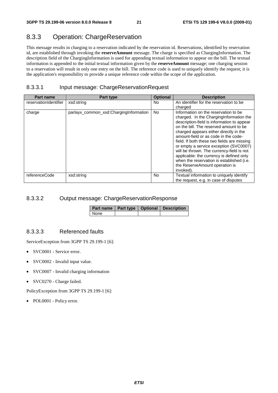### 8.3.3 Operation: ChargeReservation

This message results in charging to a reservation indicated by the reservation id. Reservations, identified by reservation id, are established through invoking the **reserveAmount** message. The charge is specified as ChargingInformation. The description field of the ChargingInformation is used for appending textual information to appear on the bill. The textual information is appended to the initial textual information given by the **reserveAmount** message; one charging session to a reservation will result in only one entry on the bill. The reference code is used to uniquely identify the request; it is the application's responsibility to provide a unique reference code within the scope of the application.

### 8.3.3.1 Input message: ChargeReservationRequest

| <b>Part name</b>      | Part type                              | <b>Optional</b> | <b>Description</b>                                                                                                                                                                                                                                                                                                                                                                                                                                                                                                                       |
|-----------------------|----------------------------------------|-----------------|------------------------------------------------------------------------------------------------------------------------------------------------------------------------------------------------------------------------------------------------------------------------------------------------------------------------------------------------------------------------------------------------------------------------------------------------------------------------------------------------------------------------------------------|
| reservationIdentifier | xsd:string                             | No.             | An identifier for the reservation to be<br>charged                                                                                                                                                                                                                                                                                                                                                                                                                                                                                       |
| charge                | parlayx_common_xsd:ChargingInformation | <b>No</b>       | Information on the reservation to be<br>charged. In the Charging Information the<br>description-field is information to appear<br>on the bill. The reserved amount to be<br>charged appears either directly in the<br>amount-field or as code in the code-<br>field. If both these two fields are missing<br>or empty a service exception (SVC0007)<br>will be thrown. The currency-field is not<br>applicable: the currency is defined only<br>when the reservation is established (i.e.<br>the ReserveAmount operation is<br>invoked). |
| referenceCode         | xsd:string                             | <b>No</b>       | Textual information to uniquely identify<br>the request, e.g. in case of disputes                                                                                                                                                                                                                                                                                                                                                                                                                                                        |

#### 8.3.3.2 Output message: ChargeReservationResponse

|             |  | Part name   Part type   Optional   Description |
|-------------|--|------------------------------------------------|
| <b>None</b> |  |                                                |

### 8.3.3.3 Referenced faults

ServiceException from 3GPP TS 29.199-1 [6]:

- SVC0001 Service error.
- SVC0002 Invalid input value.
- SVC0007 Invalid charging information
- SVC0270 Charge failed.

PolicyException from 3GPP TS 29.199-1 [6]: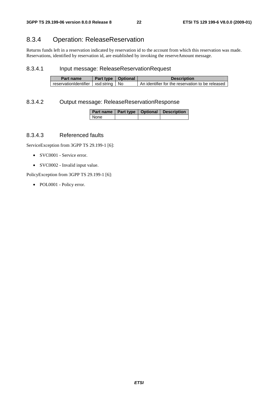### 8.3.4 Operation: ReleaseReservation

Returns funds left in a reservation indicated by reservation id to the account from which this reservation was made. Reservations, identified by reservation id, are established by invoking the reserveAmount message.

#### 8.3.4.1 Input message: ReleaseReservationRequest

| Part name                               | Part type   Optional | <b>Description</b>                               |
|-----------------------------------------|----------------------|--------------------------------------------------|
| reservationIdentifier   xsd:string   No |                      | An identifier for the reservation to be released |

#### 8.3.4.2 Output message: ReleaseReservationResponse

|      |  | Part name   Part type   Optional   Description |
|------|--|------------------------------------------------|
| None |  |                                                |

#### 8.3.4.3 Referenced faults

ServiceException from 3GPP TS 29.199-1 [6]:

- SVC0001 Service error.
- SVC0002 Invalid input value.

PolicyException from 3GPP TS 29.199-1 [6]: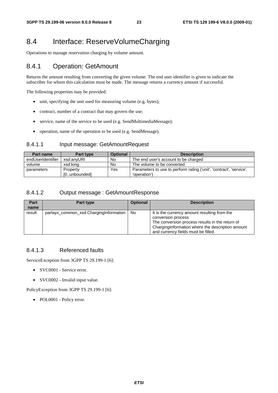### 8.4 Interface: ReserveVolumeCharging

Operations to manage reservation charging by volume amount.

### 8.4.1 Operation: GetAmount

Returns the amount resulting from converting the given volume. The end user identifier is given to indicate the subscriber for whom this calculation must be made. The message returns a currency amount if successful.

The following properties may be provided:

- unit, specifying the unit used for measuring volume (e.g. bytes);
- contract, number of a contract that may govern the use;
- service, name of the service to be used (e.g. SendMultimediaMessage);
- operation, name of the operation to be used (e.g. SendMessage).

#### 8.4.1.1 Input message: GetAmountRequest

| <b>Part name</b>  | Part type    | <b>Optional</b> | <b>Description</b>                                                  |
|-------------------|--------------|-----------------|---------------------------------------------------------------------|
| endUserIdentifier | xsd:anvURI   | No              | The end user's account to be charged                                |
| volume            | xsd:long     | No              | The volume to be converted                                          |
| parameters        | Property     | Yes             | Parameters to use to perform rating ('unit', 'contract', 'service', |
|                   | [0unbounded] |                 | 'operation')                                                        |

#### 8.4.1.2 Output message : GetAmountResponse

| Part<br>name | Part type                              | <b>Optional</b> | <b>Description</b>                                                                                                                                                                                               |
|--------------|----------------------------------------|-----------------|------------------------------------------------------------------------------------------------------------------------------------------------------------------------------------------------------------------|
| result       | parlayx_common_xsd:ChargingInformation | No.             | It is the currency amount resulting from the<br>conversion process<br>The conversion process results in the return of<br>ChargingInformation where the description amount<br>and currency fields must be filled. |

#### 8.4.1.3 Referenced faults

ServiceException from 3GPP TS 29.199-1 [6]:

- SVC0001 Service error.
- SVC0002 Invalid input value.

PolicyException from 3GPP TS 29.199-1 [6]: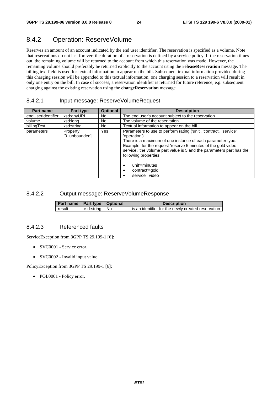### 8.4.2 Operation: ReserveVolume

Reserves an amount of an account indicated by the end user identifier. The reservation is specified as a volume. Note that reservations do not last forever; the duration of a reservation is defined by a service policy. If the reservation times out, the remaining volume will be returned to the account from which this reservation was made. However, the remaining volume should preferably be returned explicitly to the account using the **releaseReservation** message. The billing text field is used for textual information to appear on the bill. Subsequent textual information provided during this charging session will be appended to this textual information; one charging session to a reservation will result in only one entry on the bill. In case of success, a reservation identifier is returned for future reference; e.g. subsequent charging against the existing reservation using the **chargeReservation** message.

#### 8.4.2.1 Input message: ReserveVolumeRequest

| Part name         | Part type                | <b>Optional</b> | <b>Description</b>                                                                                                                                                                                                                                                                                                                                                                             |
|-------------------|--------------------------|-----------------|------------------------------------------------------------------------------------------------------------------------------------------------------------------------------------------------------------------------------------------------------------------------------------------------------------------------------------------------------------------------------------------------|
| endUserIdentifier | xsd:anyURI               | No.             | The end user's account subject to the reservation                                                                                                                                                                                                                                                                                                                                              |
| volume            | xsd:long                 | No.             | The volume of the reservation                                                                                                                                                                                                                                                                                                                                                                  |
| billingText       | xsd:string               | No.             | Textual information to appear on the bill                                                                                                                                                                                                                                                                                                                                                      |
| parameters        | Property<br>[0unbounded] | Yes             | Parameters to use to perform rating ('unit', 'contract', 'service',<br>'operation').<br>There is a maximum of one instance of each parameter type.<br>Example, for the request 'reserve 5 minutes of the gold video<br>service', the volume part value is 5 and the parameters part has the<br>following properties:<br>'unit'=minutes<br>$\bullet$<br>'contract'=gold<br>٠<br>'service'=video |

#### 8.4.2.2 Output message: ReserveVolumeResponse

| Part name   Part type   Optional |                 | <b>Description</b>                                      |
|----------------------------------|-----------------|---------------------------------------------------------|
| result                           | xsd:string   No | I It is an identifier for the newly created reservation |

#### 8.4.2.3 Referenced faults

ServiceException from 3GPP TS 29.199-1 [6]:

- SVC0001 Service error.
- SVC0002 Invalid input value.

PolicyException from 3GPP TS 29.199-1 [6]: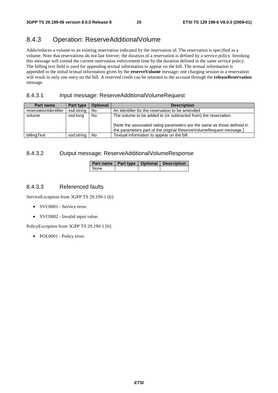### 8.4.3 Operation: ReserveAdditionalVolume

Adds/reduces a volume to an existing reservation indicated by the reservation id. The reservation is specified as a volume. Note that reservations do not last forever; the duration of a reservation is defined by a service policy. Invoking this message will extend the current reservation enforcement time by the duration defined in the same service policy. The billing text field is used for appending textual information to appear on the bill. The textual information is appended to the initial textual information given by the **reserveVolume** message; one charging session to a reservation will result in only one entry on the bill. A reserved credit can be returned to the account through the **releaseReservation** message.

#### 8.4.3.1 Input message: ReserveAdditionalVolumeRequest

| Part name             | Part type  | <b>Optional</b> | <b>Description</b>                                                                                                                                                                                               |
|-----------------------|------------|-----------------|------------------------------------------------------------------------------------------------------------------------------------------------------------------------------------------------------------------|
| reservationIdentifier | xsd:string | No              | An identifier for the reservation to be amended                                                                                                                                                                  |
| volume                | xsd:long   | No              | The volume to be added to (or subtracted from) the reservation.<br>[Note the associated rating parameters are the same as those defined in<br>the parameters part of the original ReserveVolumeRequest message.] |
| billingText           | xsd:string | No              | Textual information to appear on the bill                                                                                                                                                                        |

#### 8.4.3.2 Output message: ReserveAdditionalVolumeResponse

|      |  | Part name   Part type   Optional   Description |
|------|--|------------------------------------------------|
| None |  |                                                |

#### 8.4.3.3 Referenced faults

ServiceException from 3GPP TS 29.199-1 [6]:

- SVC0001 Service error.
- SVC0002 Invalid input value.

PolicyException from 3GPP TS 29.199-1 [6]: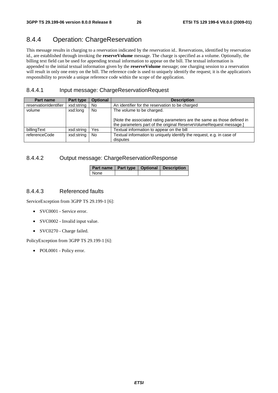### 8.4.4 Operation: ChargeReservation

This message results in charging to a reservation indicated by the reservation id.. Reservations, identified by reservation id., are established through invoking the **reserveVolume** message. The charge is specified as a volume. Optionally, the billing text field can be used for appending textual information to appear on the bill. The textual information is appended to the initial textual information given by the **reserveVolume** message; one charging session to a reservation will result in only one entry on the bill. The reference code is used to uniquely identify the request; it is the application's responsibility to provide a unique reference code within the scope of the application.

#### 8.4.4.1 Input message: ChargeReservationRequest

| Part name             | Part type  | <b>Optional</b> | <b>Description</b>                                                                                                                            |
|-----------------------|------------|-----------------|-----------------------------------------------------------------------------------------------------------------------------------------------|
| reservationIdentifier | xsd:string | No              | An identifier for the reservation to be charged                                                                                               |
| volume                | xsd:long   | No              | The volume to be charged.                                                                                                                     |
|                       |            |                 | [Note the associated rating parameters are the same as those defined in<br>the parameters part of the original ReserveVolumeRequest message.] |
| billingText           | xsd:string | Yes             | Textual information to appear on the bill                                                                                                     |
| referenceCode         | xsd:string | No              | Textual information to uniquely identify the request, e.g. in case of<br>disputes                                                             |

#### 8.4.4.2 Output message: ChargeReservationResponse

|        |  | Part name   Part type   Optional   Description |
|--------|--|------------------------------------------------|
| l None |  |                                                |

#### 8.4.4.3 Referenced faults

ServiceException from 3GPP TS 29.199-1 [6]:

- SVC0001 Service error.
- SVC0002 Invalid input value.
- SVC0270 Charge failed.

PolicyException from 3GPP TS 29.199-1 [6]: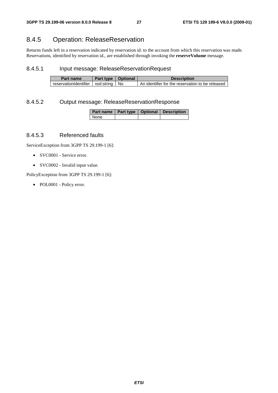### 8.4.5 Operation: ReleaseReservation

Returns funds left in a reservation indicated by reservation id. to the account from which this reservation was made. Reservations, identified by reservation id., are established through invoking the **reserveVolume** message.

#### 8.4.5.1 Input message: ReleaseReservationRequest

| Part name                               | Part type   Optional | <b>Description</b>                               |
|-----------------------------------------|----------------------|--------------------------------------------------|
| reservationIdentifier   xsd:string   No |                      | An identifier for the reservation to be released |

#### 8.4.5.2 Output message: ReleaseReservationResponse

|      |  | Part name   Part type   Optional   Description |  |  |
|------|--|------------------------------------------------|--|--|
| None |  |                                                |  |  |

#### 8.4.5.3 Referenced faults

ServiceException from 3GPP TS 29.199-1 [6]:

- SVC0001 Service error.
- SVC0002 Invalid input value.

PolicyException from 3GPP TS 29.199-1 [6]: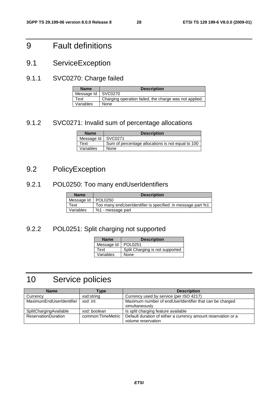## 9 Fault definitions

9.1 ServiceException

### 9.1.1 SVC0270: Charge failed

| <b>Name</b>          | <b>Description</b>                                     |
|----------------------|--------------------------------------------------------|
| Message Id   SVC0270 |                                                        |
| Text                 | Charging operation failed, the charge was not applied. |
| Variables            | None                                                   |

### 9.1.2 SVC0271: Invalid sum of percentage allocations

| <b>Name</b> | <b>Description</b>                                |
|-------------|---------------------------------------------------|
| Message Id  | SVC0271                                           |
| Text        | Sum of percentage allocations is not equal to 100 |
| Variables   | None                                              |

## 9.2 PolicyException

### 9.2.1 POL0250: Too many endUserIdentifiers

| <b>Name</b> | <b>Description</b>                                         |
|-------------|------------------------------------------------------------|
| Message Id  | <b>POL0250</b>                                             |
| Text        | Too many endUserIdentifier is specified in message part %1 |
| Variables   | %1 - message part                                          |

### 9.2.2 POL0251: Split charging not supported

| <b>Name</b> | <b>Description</b>              |
|-------------|---------------------------------|
| Message Id  | POL0251                         |
| Text        | Split Charging is not supported |
| Variables   | None                            |

## 10 Service policies

| <b>Name</b>                | Type              | <b>Description</b>                                            |
|----------------------------|-------------------|---------------------------------------------------------------|
| Currency                   | xsd:string        | Currency used by service (per ISO 4217)                       |
| MaximumEndUserIdentifier   | xsd: int          | Maximum number of endUserIdentifier that can be charged       |
|                            |                   | simultaneously                                                |
| SplitChargingAvailable     | xsd: boolean      | Is split charging feature available                           |
| <b>ReservationDuration</b> | common:TimeMetric | Default duration of either a currency amount reservation or a |
|                            |                   | volume reservation                                            |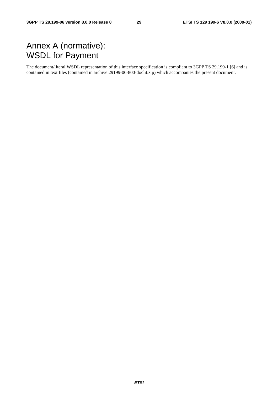## Annex A (normative): WSDL for Payment

The document/literal WSDL representation of this interface specification is compliant to 3GPP TS 29.199-1 [6] and is contained in text files (contained in archive 29199-06-800-doclit.zip) which accompanies the present document.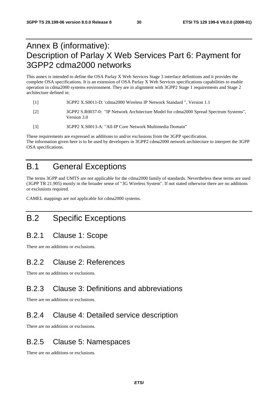## Annex B (informative): Description of Parlay X Web Services Part 6: Payment for 3GPP2 cdma2000 networks

This annex is intended to define the OSA Parlay X Web Services Stage 3 interface definitions and it provides the complete OSA specifications. It is an extension of OSA Parlay X Web Services specifications capabilities to enable operation in cdma2000 systems environment. They are in alignment with 3GPP2 Stage 1 requirements and Stage 2 architecture defined in:

- [1] 3GPP2 X.S0011-D: 'cdma2000 Wireless IP Network Standard ", Version 1.1
- [2] 3GPP2 S.R0037-0: "IP Network Architecture Model for cdma2000 Spread Spectrum Systems", Version 3.0
- [3] 3GPP2 X.S0013-A: "All-IP Core Network Multimedia Domain"

These requirements are expressed as additions to and/or exclusions from the 3GPP specification. The information given here is to be used by developers in 3GPP2 cdma2000 network architecture to interpret the 3GPP OSA specifications.

## B.1 General Exceptions

The terms 3GPP and UMTS are not applicable for the cdma2000 family of standards. Nevertheless these terms are used (3GPP TR 21.905) mostly in the broader sense of "3G Wireless System". If not stated otherwise there are no additions or exclusions required.

CAMEL mappings are not applicable for cdma2000 systems.

### B.2 Specific Exceptions

### B.2.1 Clause 1: Scope

There are no additions or exclusions.

### B.2.2 Clause 2: References

There are no additions or exclusions.

### B.2.3 Clause 3: Definitions and abbreviations

There are no additions or exclusions.

### B.2.4 Clause 4: Detailed service description

There are no additions or exclusions.

### B.2.5 Clause 5: Namespaces

There are no additions or exclusions.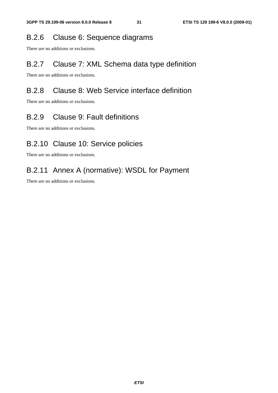### B.2.6 Clause 6: Sequence diagrams

There are no additions or exclusions.

### B.2.7 Clause 7: XML Schema data type definition

There are no additions or exclusions.

### B.2.8 Clause 8: Web Service interface definition

There are no additions or exclusions.

### B.2.9 Clause 9: Fault definitions

There are no additions or exclusions.

### B.2.10 Clause 10: Service policies

There are no additions or exclusions.

### B.2.11 Annex A (normative): WSDL for Payment

There are no additions or exclusions.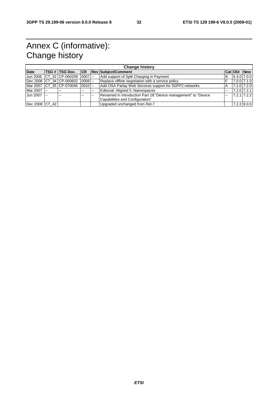## Annex C (informative): Change history

| <b>Change history</b> |  |                                  |    |       |                                                                 |                |                |                 |
|-----------------------|--|----------------------------------|----|-------|-----------------------------------------------------------------|----------------|----------------|-----------------|
| <b>Date</b>           |  |                                  |    |       | <b>TSG # TSG Doc. CR Rev Subject/Comment</b>                    |                | <b>Cat Old</b> | <b>New</b>      |
|                       |  | Jun 2006 CT 32 CP-060209 0007 -- |    |       | Add support of Split Charging in Payment                        | B              |                | $6.3.0$ 7.0.0   |
|                       |  | Dec 2006 CT 34 CP-060602 0008 -- |    |       | Replace offline negotiation with a service policy               | F              |                | 7.0.0 7.1.0     |
|                       |  | Mar 2007 CT 35 CP-070045 0010 -- |    |       | Add OSA Parlay Web Services support for 3GPP2 networks          | A              |                | 7.1.0 7.2.0     |
| Mar 2007 --           |  | $- -$                            |    | $- -$ | Editorial: Aligned 5 Namespaces                                 | $\overline{a}$ |                | 7.2.0 7.2.1     |
| Jun 2007              |  | $\sim$ $\sim$                    | -- |       | Renamed in Introduction Part 18: "Device management" to "Device |                |                | $7.2.1$ $7.2.2$ |
|                       |  |                                  |    |       | Capabilities and Configuration"                                 |                |                |                 |
| Dec 2008 CT 42        |  |                                  |    |       | Upgraded unchanged from Rel-7                                   |                |                | $7.2.2$ 8.0.0   |